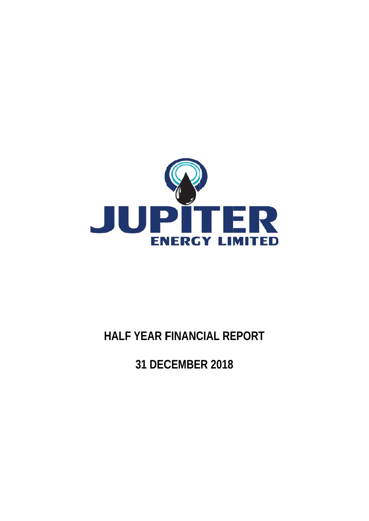

# **HALF YEAR F FINANC IAL RE PORT**

**31 DEC CEMBE R 2018**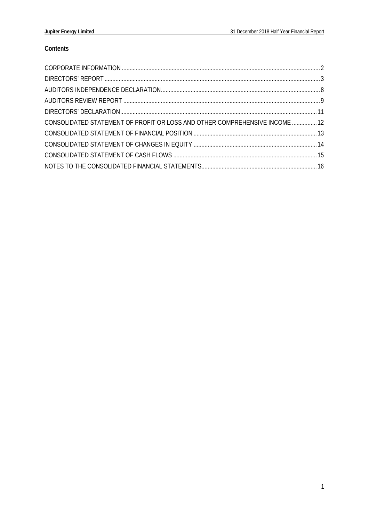# Contents

| CONSOLIDATED STATEMENT OF PROFIT OR LOSS AND OTHER COMPREHENSIVE INCOME  12 |  |
|-----------------------------------------------------------------------------|--|
|                                                                             |  |
|                                                                             |  |
|                                                                             |  |
|                                                                             |  |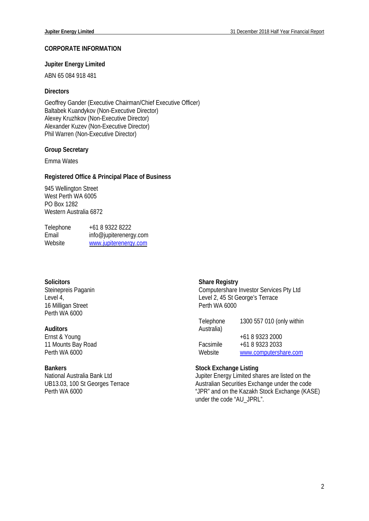#### **CORPORATE INFORMATION**

#### **Jupiter Energy Limited**

ABN 65 084 918 481

# **Directors**

Geoffrey Gander (Executive Chairman/Chief Executive Officer) Baltabek Kuandykov (Non-Executive Director) Alexey Kruzhkov (Non-Executive Director) Alexander Kuzev (Non-Executive Director) Phil Warren (Non-Executive Director)

# **Group Secretary**

Emma Wates

#### **Registered Office & Principal Place of Business**

945 Wellington Street West Perth WA 6005 PO Box 1282 Western Australia 6872

| Telephone | +61 8 9322 8222        |
|-----------|------------------------|
| Email     | info@jupiterenergy.com |
| Website   | www.jupiterenergy.com  |

# **Solicitors**

Steinepreis Paganin Level 4, 16 Milligan Street Perth WA 6000

# **Auditors**

Ernst & Young 11 Mounts Bay Road Perth WA 6000

# **Bankers**

National Australia Bank Ltd UB13.03, 100 St Georges Terrace Perth WA 6000

# **Share Registry**

Computershare Investor Services Pty Ltd Level 2, 45 St George's Terrace Perth WA 6000

| Telephone<br>Australia) | 1300 557 010 (only within          |
|-------------------------|------------------------------------|
| Facsimile               | +61 8 9323 2000<br>+61 8 9323 2033 |
| Website                 | www.computershare.com              |

#### **Stock Exchange Listing**

Jupiter Energy Limited shares are listed on the Australian Securities Exchange under the code "JPR" and on the Kazakh Stock Exchange (KASE) under the code "AU\_JPRL".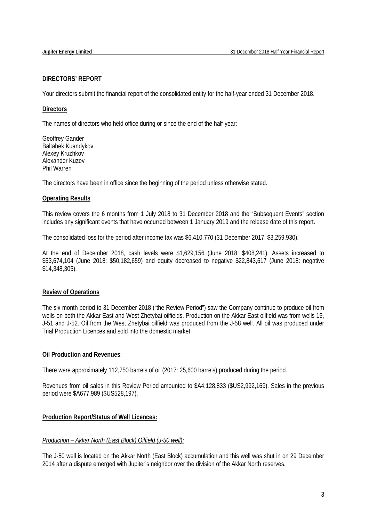# **DIRECTORS' REPORT**

Your directors submit the financial report of the consolidated entity for the half-year ended 31 December 2018.

# **Directors**

The names of directors who held office during or since the end of the half-year:

Geoffrey Gander Baltabek Kuandykov Alexey Kruzhkov Alexander Kuzev Phil Warren

The directors have been in office since the beginning of the period unless otherwise stated.

# **Operating Results**

This review covers the 6 months from 1 July 2018 to 31 December 2018 and the "Subsequent Events" section includes any significant events that have occurred between 1 January 2019 and the release date of this report.

The consolidated loss for the period after income tax was \$6,410,770 (31 December 2017: \$3,259,930).

At the end of December 2018, cash levels were \$1,629,156 (June 2018: \$408,241). Assets increased to \$53,674,104 (June 2018: \$50,182,659) and equity decreased to negative \$22,843,617 (June 2018: negative \$14,348,305).

# **Review of Operations**

The six month period to 31 December 2018 ("the Review Period") saw the Company continue to produce oil from wells on both the Akkar East and West Zhetybai oilfields. Production on the Akkar East oilfield was from wells 19, J-51 and J-52. Oil from the West Zhetybai oilfield was produced from the J-58 well. All oil was produced under Trial Production Licences and sold into the domestic market.

# **Oil Production and Revenues**:

There were approximately 112,750 barrels of oil (2017: 25,600 barrels) produced during the period.

Revenues from oil sales in this Review Period amounted to \$A4,128,833 (\$US2,992,169). Sales in the previous period were \$A677,989 (\$US528,197).

# **Production Report/Status of Well Licences:**

# *Production – Akkar North (East Block) Oilfield (J-50 well):*

The J-50 well is located on the Akkar North (East Block) accumulation and this well was shut in on 29 December 2014 after a dispute emerged with Jupiter's neighbor over the division of the Akkar North reserves.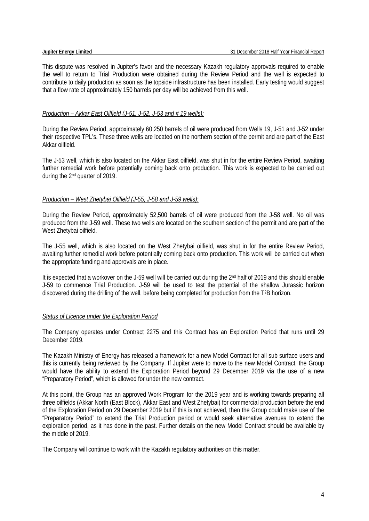This dispute was resolved in Jupiter's favor and the necessary Kazakh regulatory approvals required to enable the well to return to Trial Production were obtained during the Review Period and the well is expected to contribute to daily production as soon as the topside infrastructure has been installed. Early testing would suggest that a flow rate of approximately 150 barrels per day will be achieved from this well.

# *Production – Akkar East Oilfield (J-51, J-52, J-53 and # 19 wells):*

During the Review Period, approximately 60,250 barrels of oil were produced from Wells 19, J-51 and J-52 under their respective TPL's. These three wells are located on the northern section of the permit and are part of the East Akkar oilfield.

The J-53 well, which is also located on the Akkar East oilfield, was shut in for the entire Review Period, awaiting further remedial work before potentially coming back onto production. This work is expected to be carried out during the 2nd quarter of 2019.

# *Production – West Zhetybai Oilfield (J-55, J-58 and J-59 wells):*

During the Review Period, approximately 52,500 barrels of oil were produced from the J-58 well. No oil was produced from the J-59 well. These two wells are located on the southern section of the permit and are part of the West Zhetybai oilfield.

The J-55 well, which is also located on the West Zhetybai oilfield, was shut in for the entire Review Period, awaiting further remedial work before potentially coming back onto production. This work will be carried out when the appropriate funding and approvals are in place.

It is expected that a workover on the J-59 well will be carried out during the 2<sup>nd</sup> half of 2019 and this should enable J-59 to commence Trial Production. J-59 will be used to test the potential of the shallow Jurassic horizon discovered during the drilling of the well, before being completed for production from the T2B horizon.

# *Status of Licence under the Exploration Period*

The Company operates under Contract 2275 and this Contract has an Exploration Period that runs until 29 December 2019.

The Kazakh Ministry of Energy has released a framework for a new Model Contract for all sub surface users and this is currently being reviewed by the Company. If Jupiter were to move to the new Model Contract, the Group would have the ability to extend the Exploration Period beyond 29 December 2019 via the use of a new "Preparatory Period", which is allowed for under the new contract.

At this point, the Group has an approved Work Program for the 2019 year and is working towards preparing all three oilfields (Akkar North (East Block), Akkar East and West Zhetybai) for commercial production before the end of the Exploration Period on 29 December 2019 but if this is not achieved, then the Group could make use of the "Preparatory Period" to extend the Trial Production period or would seek alternative avenues to extend the exploration period, as it has done in the past. Further details on the new Model Contract should be available by the middle of 2019.

The Company will continue to work with the Kazakh regulatory authorities on this matter.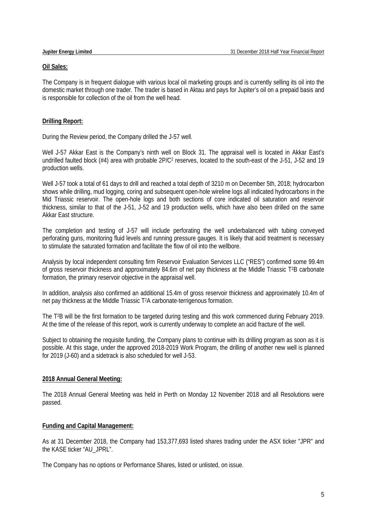#### **Oil Sales:**

The Company is in frequent dialogue with various local oil marketing groups and is currently selling its oil into the domestic market through one trader. The trader is based in Aktau and pays for Jupiter's oil on a prepaid basis and is responsible for collection of the oil from the well head.

# **Drilling Report:**

During the Review period, the Company drilled the J-57 well.

Well J-57 Akkar East is the Company's ninth well on Block 31. The appraisal well is located in Akkar East's undrilled faulted block (#4) area with probable 2P/C<sup>2</sup> reserves, located to the south-east of the J-51, J-52 and 19 production wells.

Well J-57 took a total of 61 days to drill and reached a total depth of 3210 m on December 5th, 2018; hydrocarbon shows while drilling, mud logging, coring and subsequent open-hole wireline logs all indicated hydrocarbons in the Mid Triassic reservoir. The open-hole logs and both sections of core indicated oil saturation and reservoir thickness, similar to that of the J-51, J-52 and 19 production wells, which have also been drilled on the same Akkar East structure.

The completion and testing of J-57 will include perforating the well underbalanced with tubing conveyed perforating guns, monitoring fluid levels and running pressure gauges. It is likely that acid treatment is necessary to stimulate the saturated formation and facilitate the flow of oil into the wellbore.

Analysis by local independent consulting firm Reservoir Evaluation Services LLC ("RES") confirmed some 99.4m of gross reservoir thickness and approximately 84.6m of net pay thickness at the Middle Triassic T2B carbonate formation, the primary reservoir objective in the appraisal well.

In addition, analysis also confirmed an additional 15.4m of gross reservoir thickness and approximately 10.4m of net pay thickness at the Middle Triassic T2A carbonate-terrigenous formation.

The T2B will be the first formation to be targeted during testing and this work commenced during February 2019. At the time of the release of this report, work is currently underway to complete an acid fracture of the well.

Subject to obtaining the requisite funding, the Company plans to continue with its drilling program as soon as it is possible. At this stage, under the approved 2018-2019 Work Program, the drilling of another new well is planned for 2019 (J-60) and a sidetrack is also scheduled for well J-53.

# **2018 Annual General Meeting:**

The 2018 Annual General Meeting was held in Perth on Monday 12 November 2018 and all Resolutions were passed.

# **Funding and Capital Management:**

As at 31 December 2018, the Company had 153,377,693 listed shares trading under the ASX ticker "JPR" and the KASE ticker "AU\_JPRL".

The Company has no options or Performance Shares, listed or unlisted, on issue.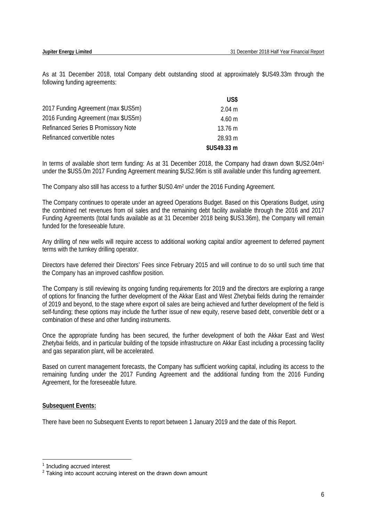As at 31 December 2018, total Company debt outstanding stood at approximately \$US49.33m through the following funding agreements:

|                                            | US\$              |
|--------------------------------------------|-------------------|
| 2017 Funding Agreement (max \$US5m)        | $2.04 \text{ m}$  |
| 2016 Funding Agreement (max \$US5m)        | $4.60 \text{ m}$  |
| <b>Refinanced Series B Promissory Note</b> | $13.76 \text{ m}$ |
| Refinanced convertible notes               | 28.93 m           |
|                                            | \$US49.33 m       |

In terms of available short term funding: As at 31 December 2018, the Company had drawn down \$US2.04m<sup>1</sup> under the \$US5.0m 2017 Funding Agreement meaning \$US2.96m is still available under this funding agreement.

The Company also still has access to a further \$US0.4m2 under the 2016 Funding Agreement.

The Company continues to operate under an agreed Operations Budget. Based on this Operations Budget, using the combined net revenues from oil sales and the remaining debt facility available through the 2016 and 2017 Funding Agreements (total funds available as at 31 December 2018 being \$US3.36m), the Company will remain funded for the foreseeable future.

Any drilling of new wells will require access to additional working capital and/or agreement to deferred payment terms with the turnkey drilling operator.

Directors have deferred their Directors' Fees since February 2015 and will continue to do so until such time that the Company has an improved cashflow position.

The Company is still reviewing its ongoing funding requirements for 2019 and the directors are exploring a range of options for financing the further development of the Akkar East and West Zhetybai fields during the remainder of 2019 and beyond, to the stage where export oil sales are being achieved and further development of the field is self-funding; these options may include the further issue of new equity, reserve based debt, convertible debt or a combination of these and other funding instruments.

Once the appropriate funding has been secured, the further development of both the Akkar East and West Zhetybai fields, and in particular building of the topside infrastructure on Akkar East including a processing facility and gas separation plant, will be accelerated.

Based on current management forecasts, the Company has sufficient working capital, including its access to the remaining funding under the 2017 Funding Agreement and the additional funding from the 2016 Funding Agreement, for the foreseeable future.

# **Subsequent Events:**

There have been no Subsequent Events to report between 1 January 2019 and the date of this Report.

 $\overline{a}$ 

<sup>&</sup>lt;sup>1</sup> Including accrued interest

 $2$  Taking into account accruing interest on the drawn down amount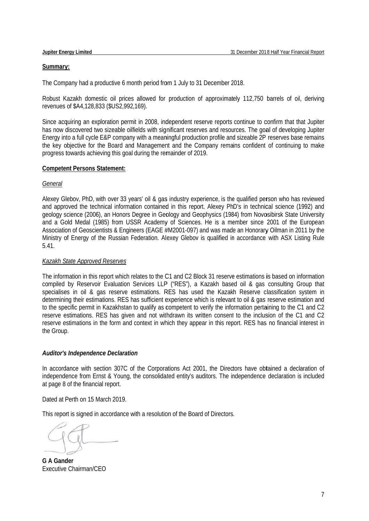#### Summary:

The Company had a productive 6 month period from 1 July to 31 December 2018.

Robust Kazakh domestic oil prices allowed for production of approximately 112,750 barrels of oil, deriving revenues of \$A4,128,83 33 (\$US2,992 ,169).

Since acquiring an exploration permit in 2008, independent reserve reports continue to confirm that that Jupiter has now discovered two sizeable oilfields with significant reserves and resources. The goal of developing Jupiter Energy into a full cycle E&P company with a meaningful production profile and sizeable 2P reserves base remains the key objective for the Board and Management and the Company remains confident of continuing to make progress towards achieving this goal during the remainder of 2019.

#### **Competent Persons Statement:**

#### *General*

Alexey Glebov, PhD, with over 33 years' oil & gas industry experience, is the qualified person who has reviewed and approved the technical information contained in this report. Alexey PhD's in technical science (1992) and geology science (2006), an Honors Degree in Geology and Geophysics (1984) from Novosibirsk State University and a Gold Medal (1985) from USSR Academy of Sciences. He is a member since 2001 of the European Association of Geoscientists & Engineers (EAGE #M2001-097) and was made an Honorary Oilman in 2011 by the Ministry of Energy of the Russian Federation. Alexey Glebov is qualified in accordance with ASX Listing Rule 5.41.

# **Kazakh State Approved Reserves**

The information in this report which relates to the C1 and C2 Block 31 reserve estimations is based on information compiled by Reservoir Evaluation Services LLP ("RES"), a Kazakh based oil & gas consulting Group that specialises in oil & gas reserve estimations. RES has used the Kazakh Reserve classification system in determining their estimations. RES has sufficient experience which is relevant to oil & gas reserve estimation and to the specific permit in Kazakhstan to qualify as competent to verify the information pertaining to the C1 and C2 reserve estimations. RES has given and not withdrawn its written consent to the inclusion of the C1 and C2 reserve estimations in the form and context in which they appear in this report. RES has no financial interest in the Group.

# **Auditor's Independence Declaration**

In accordance with section 307C of the Corporations Act 2001, the Directors have obtained a declaration of independence from Ernst & Young, the consolidated entity's auditors. The independence declaration is included at page 8 of the financia al report.

Dated at P Perth on 15 M arch 2019.

This report is signed in accordance with a resolution of the Board of Directors.

**G** A Gander Executive Chairman/CEO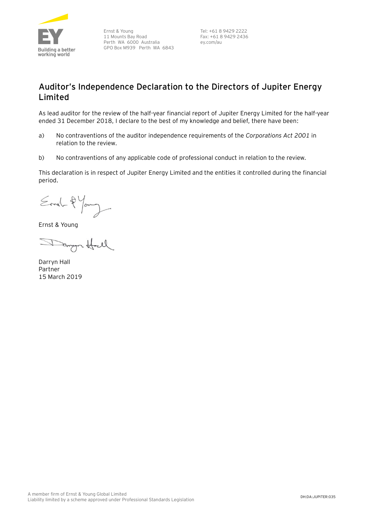

Ernst & Young 11 Mounts Bay Road Perth WA 6000 Australia GPO Box M939 Perth WA 6843

Tel: +61 8 9429 2222 Fax: +61 8 9429 2436 ey.com/au

# **Auditor's Independence Declaration to the Directors of Jupiter Energy Limited**

As lead auditor for the review of the half-year financial report of Jupiter Energy Limited for the half-year ended 31 December 2018, I declare to the best of my knowledge and belief, there have been:

- a) No contraventions of the auditor independence requirements of the *Corporations Act 2001* in relation to the review*.*
- b) No contraventions of any applicable code of professional conduct in relation to the review.

This declaration is in respect of Jupiter Energy Limited and the entities it controlled during the financial period.

Ernel-2 Young

Ernst & Young

Tango Hall

Darryn Hall Partner 15 March 2019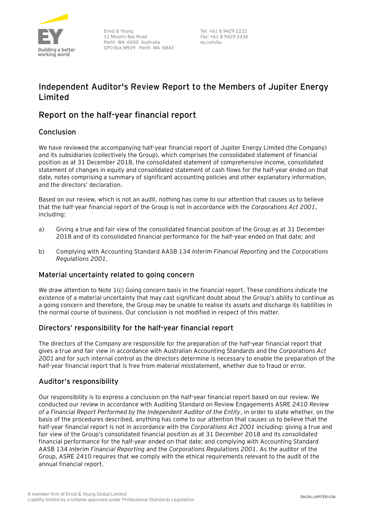

Ernst & Young 11 Mounts Bay Road Perth WA 6000 Australia GPO Box M939 Perth WA 6843

Tel: +61 8 9429 2222 Fax: +61 8 9429 2436 ey.com/au

# **Independent Auditor's Review Report to the Members of Jupiter Energy Limited**

# **Report on the half-year financial report**

# Conclusion

We have reviewed the accompanying half-year financial report of Jupiter Energy Limited (the Company) and its subsidiaries (collectively the Group), which comprises the consolidated statement of financial position as at 31 December 2018, the consolidated statement of comprehensive income, consolidated statement of changes in equity and consolidated statement of cash flows for the half-year ended on that date, notes comprising a summary of significant accounting policies and other explanatory information, and the directors' declaration.

Based on our review, which is not an audit, nothing has come to our attention that causes us to believe that the half-year financial report of the Group is not in accordance with the *Corporations Act 2001*, including:

- a) Giving a true and fair view of the consolidated financial position of the Group as at 31 December 2018 and of its consolidated financial performance for the half-year ended on that date; and
- b) Complying with Accounting Standard AASB 134 *Interim Financial Reporting* and the *Corporations Regulations 2001*.

# Material uncertainty related to going concern

We draw attention to Note 1(c) Going concern basis in the financial report. These conditions indicate the existence of a material uncertainty that may cast significant doubt about the Group's ability to continue as a going concern and therefore, the Group may be unable to realise its assets and discharge its liabilities in the normal course of business. Our conclusion is not modified in respect of this matter.

# Directors' responsibility for the half-year financial report

The directors of the Company are responsible for the preparation of the half-year financial report that gives a true and fair view in accordance with Australian Accounting Standards and the *Corporations Act 2001* and for such internal control as the directors determine is necessary to enable the preparation of the half-year financial report that is free from material misstatement, whether due to fraud or error.

# Auditor's responsibility

Our responsibility is to express a conclusion on the half-year financial report based on our review. We conducted our review in accordance with Auditing Standard on Review Engagements ASRE 2410 *Review of a Financial Report Performed by the Independent Auditor of the Entity*, in order to state whether, on the basis of the procedures described, anything has come to our attention that causes us to believe that the half-year financial report is not in accordance with the *Corporations Act 2001* including: giving a true and fair view of the Group's consolidated financial position as at 31 December 2018 and its consolidated financial performance for the half-year ended on that date; and complying with Accounting Standard AASB 134 *Interim Financial Reporting* and the *Corporations Regulations 2001*. As the auditor of the Group, ASRE 2410 requires that we comply with the ethical requirements relevant to the audit of the annual financial report.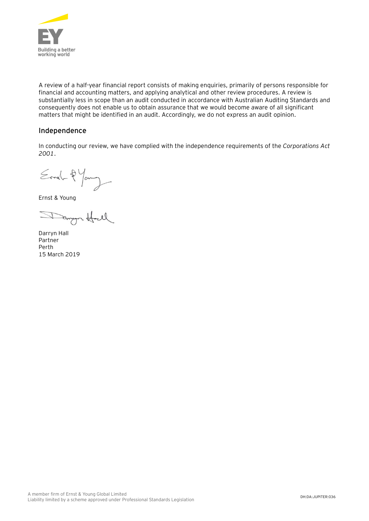

A review of a half-year financial report consists of making enquiries, primarily of persons responsible for financial and accounting matters, and applying analytical and other review procedures. A review is substantially less in scope than an audit conducted in accordance with Australian Auditing Standards and consequently does not enable us to obtain assurance that we would become aware of all significant matters that might be identified in an audit. Accordingly, we do not express an audit opinion.

# Independence

In conducting our review, we have complied with the independence requirements of the *Corporations Act 2001*.

Ernel-2 Young

Ernst & Young

Danger Hall

Darryn Hall Partner Perth 15 March 2019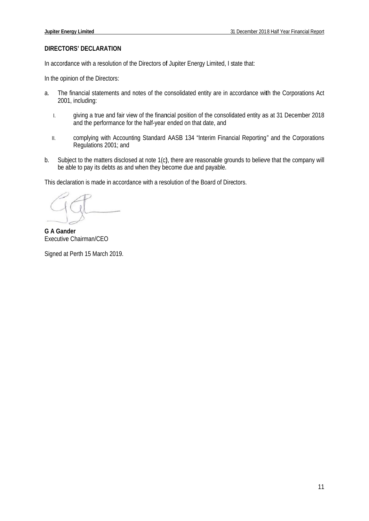#### **DIRECTORS' DECLARATION**

In accordance with a resolution of the Directors of Jupiter Energy Limited, I state that:

In the opinion of the Directors:

- a. The financial statements and notes of the consolidated entity are in accordance with the Corporations Act 2001, including:
	- I. giving a true and fair view of the financial position of the consolidated entity as at 31 December 2018 and the pe rformance for the half-year ended on tha t date, and
	- II. complying with Accounting Standard AASB 134 "Interim Financial Reporting" and the Corporations Regulation s 2001; and
- b. Subject to the matters disclosed at note 1(c), there are reasonable grounds to believe that the company will be able to pay its debts as and when they become due and payable.

This declaration is made in accordance with a resolution of the Board of Directors.

**G A Gan der**  Executive Chairman/CEO

Signed at Perth 15 March 2019.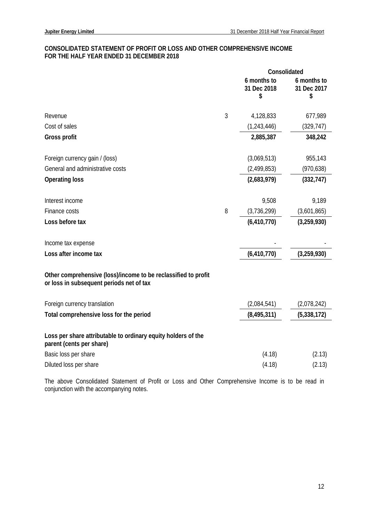# **CONSOLIDATED STATEMENT OF PROFIT OR LOSS AND OTHER COMPREHENSIVE INCOME FOR THE HALF YEAR ENDED 31 DECEMBER 2018**

|                                                                                                            |                | Consolidated                     |                                  |  |
|------------------------------------------------------------------------------------------------------------|----------------|----------------------------------|----------------------------------|--|
|                                                                                                            |                | 6 months to<br>31 Dec 2018<br>\$ | 6 months to<br>31 Dec 2017<br>\$ |  |
|                                                                                                            |                |                                  |                                  |  |
| Revenue                                                                                                    | $\mathfrak{Z}$ | 4,128,833                        | 677,989                          |  |
| Cost of sales                                                                                              |                | (1, 243, 446)                    | (329, 747)                       |  |
| Gross profit                                                                                               |                | 2,885,387                        | 348,242                          |  |
| Foreign currency gain / (loss)                                                                             |                | (3,069,513)                      | 955,143                          |  |
| General and administrative costs                                                                           |                | (2,499,853)                      | (970, 638)                       |  |
| <b>Operating loss</b>                                                                                      |                | (2,683,979)                      | (332, 747)                       |  |
| Interest income                                                                                            |                | 9,508                            | 9,189                            |  |
| Finance costs                                                                                              | 8              | (3,736,299)                      | (3,601,865)                      |  |
| Loss before tax                                                                                            |                | (6, 410, 770)                    | (3,259,930)                      |  |
|                                                                                                            |                |                                  |                                  |  |
| Income tax expense                                                                                         |                |                                  |                                  |  |
| Loss after income tax                                                                                      |                | (6, 410, 770)                    | (3,259,930)                      |  |
| Other comprehensive (loss)/income to be reclassified to profit<br>or loss in subsequent periods net of tax |                |                                  |                                  |  |
| Foreign currency translation                                                                               |                | (2,084,541)                      | (2,078,242)                      |  |
| Total comprehensive loss for the period                                                                    |                | (8, 495, 311)                    | (5,338,172)                      |  |
| Loss per share attributable to ordinary equity holders of the<br>parent (cents per share)                  |                |                                  |                                  |  |
| Basic loss per share                                                                                       |                | (4.18)                           | (2.13)                           |  |
| Diluted loss per share                                                                                     |                | (4.18)                           | (2.13)                           |  |
|                                                                                                            |                |                                  |                                  |  |

The above Consolidated Statement of Profit or Loss and Other Comprehensive Income is to be read in conjunction with the accompanying notes.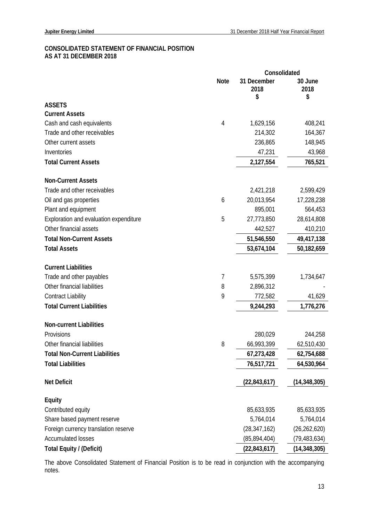# **CONSOLIDATED STATEMENT OF FINANCIAL POSITION AS AT 31 DECEMBER 2018**

|                                        | Consolidated |                           |                       |
|----------------------------------------|--------------|---------------------------|-----------------------|
|                                        | <b>Note</b>  | 31 December<br>2018<br>\$ | 30 June<br>2018<br>\$ |
| <b>ASSETS</b>                          |              |                           |                       |
| <b>Current Assets</b>                  |              |                           |                       |
| Cash and cash equivalents              | 4            | 1,629,156                 | 408,241               |
| Trade and other receivables            |              | 214,302                   | 164,367               |
| Other current assets                   |              | 236,865                   | 148,945               |
| Inventories                            |              | 47,231                    | 43,968                |
| <b>Total Current Assets</b>            |              | 2,127,554                 | 765,521               |
| <b>Non-Current Assets</b>              |              |                           |                       |
| Trade and other receivables            |              | 2,421,218                 | 2,599,429             |
| Oil and gas properties                 | 6            | 20,013,954                | 17,228,238            |
| Plant and equipment                    |              | 895,001                   | 564,453               |
| Exploration and evaluation expenditure | 5            | 27,773,850                | 28,614,808            |
| Other financial assets                 |              | 442,527                   | 410,210               |
| <b>Total Non-Current Assets</b>        |              | 51,546,550                | 49,417,138            |
| <b>Total Assets</b>                    |              | 53,674,104                | 50,182,659            |
| <b>Current Liabilities</b>             |              |                           |                       |
| Trade and other payables               | 7            | 5,575,399                 | 1,734,647             |
| Other financial liabilities            | 8            | 2,896,312                 |                       |
| <b>Contract Liability</b>              | 9            | 772,582                   | 41,629                |
| <b>Total Current Liabilities</b>       |              | 9,244,293                 | 1,776,276             |
| <b>Non-current Liabilities</b>         |              |                           |                       |
| Provisions                             |              | 280,029                   | 244,258               |
| Other financial liabilities            | 8            | 66,993,399                | 62,510,430            |
| <b>Total Non-Current Liabilities</b>   |              | 67,273,428                | 62,754,688            |
| <b>Total Liabilities</b>               |              | 76,517,721                | 64,530,964            |
| <b>Net Deficit</b>                     |              | (22, 843, 617)            | (14, 348, 305)        |
| <b>Equity</b>                          |              |                           |                       |
| Contributed equity                     |              | 85,633,935                | 85,633,935            |
| Share based payment reserve            |              | 5,764,014                 | 5,764,014             |
| Foreign currency translation reserve   |              | (28, 347, 162)            | (26, 262, 620)        |
| <b>Accumulated losses</b>              |              | (85, 894, 404)            | (79, 483, 634)        |
| Total Equity / (Deficit)               |              | (22, 843, 617)            | (14, 348, 305)        |

The above Consolidated Statement of Financial Position is to be read in conjunction with the accompanying notes.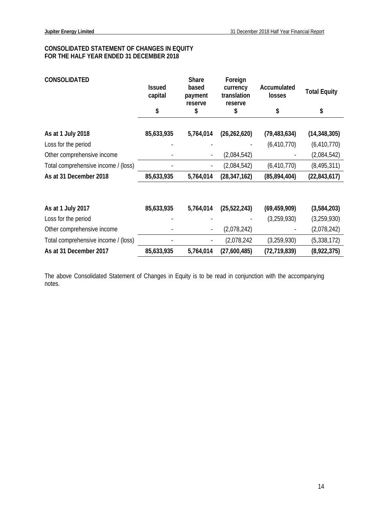# **CONSOLIDATED STATEMENT OF CHANGES IN EQUITY FOR THE HALF YEAR ENDED 31 DECEMBER 2018**

| <b>CONSOLIDATED</b>                 | <b>Issued</b><br>capital<br>\$ | <b>Share</b><br>based<br>payment<br>reserve<br>\$ | Foreign<br>currency<br>translation<br>reserve<br>\$ | Accumulated<br>losses<br>\$ | <b>Total Equity</b><br>\$ |
|-------------------------------------|--------------------------------|---------------------------------------------------|-----------------------------------------------------|-----------------------------|---------------------------|
|                                     |                                |                                                   |                                                     |                             |                           |
| As at 1 July 2018                   | 85,633,935                     | 5,764,014                                         | (26, 262, 620)                                      | (79, 483, 634)              | (14, 348, 305)            |
| Loss for the period                 |                                |                                                   |                                                     | (6, 410, 770)               | (6, 410, 770)             |
| Other comprehensive income          |                                |                                                   | (2,084,542)                                         |                             | (2,084,542)               |
| Total comprehensive income / (loss) |                                |                                                   | (2,084,542)                                         | (6, 410, 770)               | (8, 495, 311)             |
| As at 31 December 2018              | 85,633,935                     | 5,764,014                                         | (28, 347, 162)                                      | (85, 894, 404)              | (22, 843, 617)            |
|                                     |                                |                                                   |                                                     |                             |                           |
| As at 1 July 2017                   | 85,633,935                     | 5,764,014                                         | (25, 522, 243)                                      | (69, 459, 909)              | (3,584,203)               |
| Loss for the period                 |                                |                                                   |                                                     | (3,259,930)                 | (3,259,930)               |
| Other comprehensive income          |                                |                                                   | (2,078,242)                                         |                             | (2,078,242)               |
| Total comprehensive income / (loss) |                                |                                                   | (2,078,242)                                         | (3,259,930)                 | (5,338,172)               |
| As at 31 December 2017              | 85,633,935                     | 5,764,014                                         | (27,600,485)                                        | (72, 719, 839)              | (8,922,375)               |

The above Consolidated Statement of Changes in Equity is to be read in conjunction with the accompanying notes.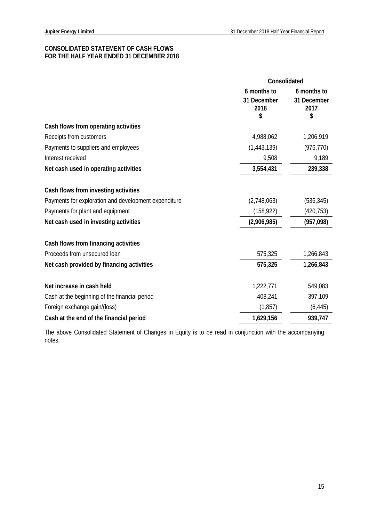# **CONSOLIDATED STATEMENT OF CASH FLOWS FOR THE HALF YEAR ENDED 31 DECEMBER 2018**

|                                                      | Consolidated                             |                                          |
|------------------------------------------------------|------------------------------------------|------------------------------------------|
|                                                      | 6 months to<br>31 December<br>2018<br>\$ | 6 months to<br>31 December<br>2017<br>\$ |
| Cash flows from operating activities                 |                                          |                                          |
| Receipts from customers                              | 4,988,062                                | 1,206,919                                |
| Payments to suppliers and employees                  | (1,443,139)                              | (976, 770)                               |
| Interest received                                    | 9,508                                    | 9,189                                    |
| Net cash used in operating activities                | 3,554,431                                | 239,338                                  |
| Cash flows from investing activities                 |                                          |                                          |
| Payments for exploration and development expenditure | (2,748,063)                              | (536, 345)                               |
| Payments for plant and equipment                     | (158, 922)                               | (420, 753)                               |
| Net cash used in investing activities                | (2,906,985)                              | (957, 098)                               |
| Cash flows from financing activities                 |                                          |                                          |
| Proceeds from unsecured loan                         | 575,325                                  | 1,266,843                                |
| Net cash provided by financing activities            | 575,325                                  | 1,266,843                                |
| Net increase in cash held                            | 1,222,771                                | 549,083                                  |
| Cash at the beginning of the financial period        | 408,241                                  | 397,109                                  |
| Foreign exchange gain/(loss)                         | (1, 857)                                 | (6, 445)                                 |
| Cash at the end of the financial period              | 1,629,156                                | 939,747                                  |

The above Consolidated Statement of Changes in Equity is to be read in conjunction with the accompanying notes.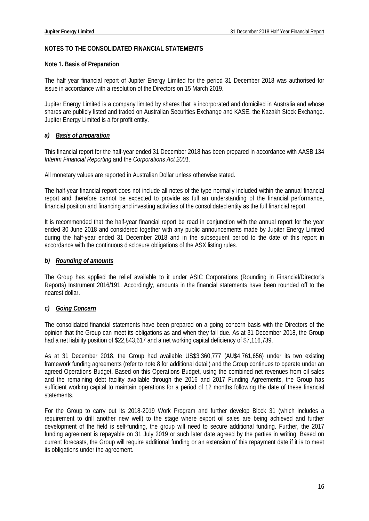# **NOTES TO THE CONSOLIDATED FINANCIAL STATEMENTS**

# **Note 1. Basis of Preparation**

The half year financial report of Jupiter Energy Limited for the period 31 December 2018 was authorised for issue in accordance with a resolution of the Directors on 15 March 2019.

Jupiter Energy Limited is a company limited by shares that is incorporated and domiciled in Australia and whose shares are publicly listed and traded on Australian Securities Exchange and KASE, the Kazakh Stock Exchange. Jupiter Energy Limited is a for profit entity.

# *a) Basis of preparation*

This financial report for the half-year ended 31 December 2018 has been prepared in accordance with AASB 134 *Interim Financial Reporting* and the *Corporations Act 2001.* 

All monetary values are reported in Australian Dollar unless otherwise stated.

The half-year financial report does not include all notes of the type normally included within the annual financial report and therefore cannot be expected to provide as full an understanding of the financial performance, financial position and financing and investing activities of the consolidated entity as the full financial report.

It is recommended that the half-year financial report be read in conjunction with the annual report for the year ended 30 June 2018 and considered together with any public announcements made by Jupiter Energy Limited during the half-year ended 31 December 2018 and in the subsequent period to the date of this report in accordance with the continuous disclosure obligations of the ASX listing rules.

# *b) Rounding of amounts*

The Group has applied the relief available to it under ASIC Corporations (Rounding in Financial/Director's Reports) Instrument 2016/191. Accordingly, amounts in the financial statements have been rounded off to the nearest dollar.

# *c) Going Concern*

The consolidated financial statements have been prepared on a going concern basis with the Directors of the opinion that the Group can meet its obligations as and when they fall due. As at 31 December 2018, the Group had a net liability position of \$22,843,617 and a net working capital deficiency of \$7,116,739.

As at 31 December 2018, the Group had available US\$3,360,777 (AU\$4,761,656) under its two existing framework funding agreements (refer to note 8 for additional detail) and the Group continues to operate under an agreed Operations Budget. Based on this Operations Budget, using the combined net revenues from oil sales and the remaining debt facility available through the 2016 and 2017 Funding Agreements, the Group has sufficient working capital to maintain operations for a period of 12 months following the date of these financial statements.

For the Group to carry out its 2018-2019 Work Program and further develop Block 31 (which includes a requirement to drill another new well) to the stage where export oil sales are being achieved and further development of the field is self-funding, the group will need to secure additional funding. Further, the 2017 funding agreement is repayable on 31 July 2019 or such later date agreed by the parties in writing. Based on current forecasts, the Group will require additional funding or an extension of this repayment date if it is to meet its obligations under the agreement.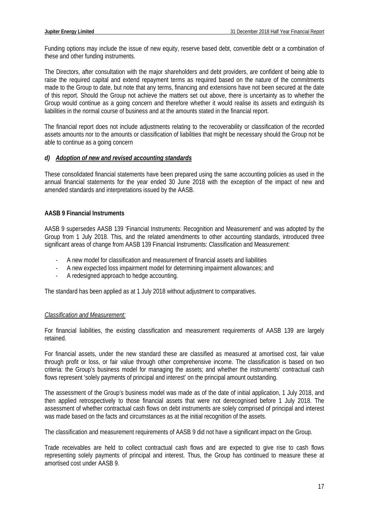Funding options may include the issue of new equity, reserve based debt, convertible debt or a combination of these and other funding instruments.

The Directors, after consultation with the major shareholders and debt providers, are confident of being able to raise the required capital and extend repayment terms as required based on the nature of the commitments made to the Group to date, but note that any terms, financing and extensions have not been secured at the date of this report. Should the Group not achieve the matters set out above, there is uncertainty as to whether the Group would continue as a going concern and therefore whether it would realise its assets and extinguish its liabilities in the normal course of business and at the amounts stated in the financial report.

The financial report does not include adjustments relating to the recoverability or classification of the recorded assets amounts nor to the amounts or classification of liabilities that might be necessary should the Group not be able to continue as a going concern

# *d) Adoption of new and revised accounting standards*

These consolidated financial statements have been prepared using the same accounting policies as used in the annual financial statements for the year ended 30 June 2018 with the exception of the impact of new and amended standards and interpretations issued by the AASB.

# **AASB 9 Financial Instruments**

AASB 9 supersedes AASB 139 'Financial Instruments: Recognition and Measurement' and was adopted by the Group from 1 July 2018. This, and the related amendments to other accounting standards, introduced three significant areas of change from AASB 139 Financial Instruments: Classification and Measurement:

- A new model for classification and measurement of financial assets and liabilities
- A new expected loss impairment model for determining impairment allowances; and
- A redesigned approach to hedge accounting.

The standard has been applied as at 1 July 2018 without adjustment to comparatives.

# *Classification and Measurement:*

For financial liabilities, the existing classification and measurement requirements of AASB 139 are largely retained.

For financial assets, under the new standard these are classified as measured at amortised cost, fair value through profit or loss, or fair value through other comprehensive income. The classification is based on two criteria: the Group's business model for managing the assets; and whether the instruments' contractual cash flows represent 'solely payments of principal and interest' on the principal amount outstanding.

The assessment of the Group's business model was made as of the date of initial application, 1 July 2018, and then applied retrospectively to those financial assets that were not derecognised before 1 July 2018. The assessment of whether contractual cash flows on debt instruments are solely comprised of principal and interest was made based on the facts and circumstances as at the initial recognition of the assets.

The classification and measurement requirements of AASB 9 did not have a significant impact on the Group.

Trade receivables are held to collect contractual cash flows and are expected to give rise to cash flows representing solely payments of principal and interest. Thus, the Group has continued to measure these at amortised cost under AASB 9.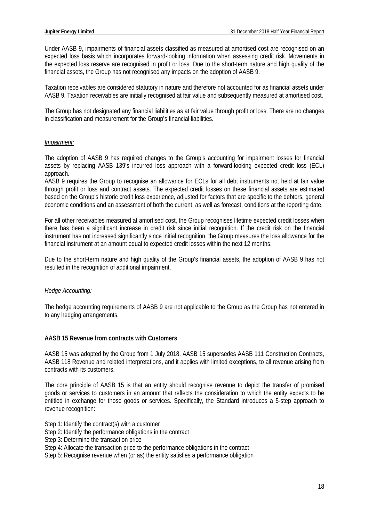Under AASB 9, impairments of financial assets classified as measured at amortised cost are recognised on an expected loss basis which incorporates forward-looking information when assessing credit risk. Movements in the expected loss reserve are recognised in profit or loss. Due to the short-term nature and high quality of the financial assets, the Group has not recognised any impacts on the adoption of AASB 9.

Taxation receivables are considered statutory in nature and therefore not accounted for as financial assets under AASB 9. Taxation receivables are initially recognised at fair value and subsequently measured at amortised cost.

The Group has not designated any financial liabilities as at fair value through profit or loss. There are no changes in classification and measurement for the Group's financial liabilities.

#### *Impairment:*

The adoption of AASB 9 has required changes to the Group's accounting for impairment losses for financial assets by replacing AASB 139's incurred loss approach with a forward-looking expected credit loss (ECL) approach.

AASB 9 requires the Group to recognise an allowance for ECLs for all debt instruments not held at fair value through profit or loss and contract assets. The expected credit losses on these financial assets are estimated based on the Group's historic credit loss experience, adjusted for factors that are specific to the debtors, general economic conditions and an assessment of both the current, as well as forecast, conditions at the reporting date.

For all other receivables measured at amortised cost, the Group recognises lifetime expected credit losses when there has been a significant increase in credit risk since initial recognition. If the credit risk on the financial instrument has not increased significantly since initial recognition, the Group measures the loss allowance for the financial instrument at an amount equal to expected credit losses within the next 12 months.

Due to the short-term nature and high quality of the Group's financial assets, the adoption of AASB 9 has not resulted in the recognition of additional impairment.

# *Hedge Accounting:*

The hedge accounting requirements of AASB 9 are not applicable to the Group as the Group has not entered in to any hedging arrangements.

# **AASB 15 Revenue from contracts with Customers**

AASB 15 was adopted by the Group from 1 July 2018. AASB 15 supersedes AASB 111 Construction Contracts, AASB 118 Revenue and related interpretations, and it applies with limited exceptions, to all revenue arising from contracts with its customers.

The core principle of AASB 15 is that an entity should recognise revenue to depict the transfer of promised goods or services to customers in an amount that reflects the consideration to which the entity expects to be entitled in exchange for those goods or services. Specifically, the Standard introduces a 5-step approach to revenue recognition:

- Step 1: Identify the contract(s) with a customer
- Step 2: Identify the performance obligations in the contract
- Step 3: Determine the transaction price
- Step 4: Allocate the transaction price to the performance obligations in the contract
- Step 5: Recognise revenue when (or as) the entity satisfies a performance obligation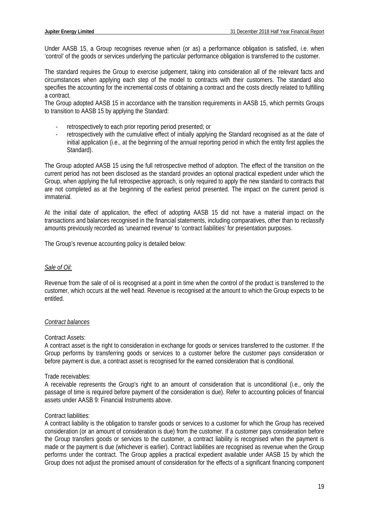Under AASB 15, a Group recognises revenue when (or as) a performance obligation is satisfied, i.e. when 'control' of the goods or services underlying the particular performance obligation is transferred to the customer.

The standard requires the Group to exercise judgement, taking into consideration all of the relevant facts and circumstances when applying each step of the model to contracts with their customers. The standard also specifies the accounting for the incremental costs of obtaining a contract and the costs directly related to fulfilling a contract.

The Group adopted AASB 15 in accordance with the transition requirements in AASB 15, which permits Groups to transition to AASB 15 by applying the Standard:

- retrospectively to each prior reporting period presented; or
- retrospectively with the cumulative effect of initially applying the Standard recognised as at the date of initial application (i.e., at the beginning of the annual reporting period in which the entity first applies the Standard).

The Group adopted AASB 15 using the full retrospective method of adoption. The effect of the transition on the current period has not been disclosed as the standard provides an optional practical expedient under which the Group, when applying the full retrospective approach, is only required to apply the new standard to contracts that are not completed as at the beginning of the earliest period presented. The impact on the current period is immaterial.

At the initial date of application, the effect of adopting AASB 15 did not have a material impact on the transactions and balances recognised in the financial statements, including comparatives, other than to reclassify amounts previously recorded as 'unearned revenue' to 'contract liabilities' for presentation purposes.

The Group's revenue accounting policy is detailed below:

# *Sale of Oil:*

Revenue from the sale of oil is recognised at a point in time when the control of the product is transferred to the customer, which occurs at the well head. Revenue is recognised at the amount to which the Group expects to be entitled.

# *Contract balances*

#### Contract Assets:

A contract asset is the right to consideration in exchange for goods or services transferred to the customer. If the Group performs by transferring goods or services to a customer before the customer pays consideration or before payment is due, a contract asset is recognised for the earned consideration that is conditional.

# Trade receivables:

A receivable represents the Group's right to an amount of consideration that is unconditional (i.e., only the passage of time is required before payment of the consideration is due). Refer to accounting policies of financial assets under AASB 9: Financial Instruments above.

#### Contract liabilities:

A contract liability is the obligation to transfer goods or services to a customer for which the Group has received consideration (or an amount of consideration is due) from the customer. If a customer pays consideration before the Group transfers goods or services to the customer, a contract liability is recognised when the payment is made or the payment is due (whichever is earlier). Contract liabilities are recognised as revenue when the Group performs under the contract. The Group applies a practical expedient available under AASB 15 by which the Group does not adjust the promised amount of consideration for the effects of a significant financing component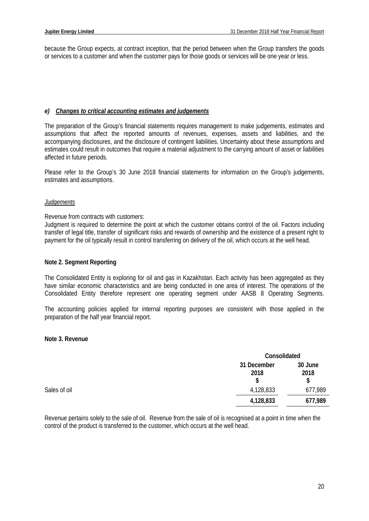because the Group expects, at contract inception, that the period between when the Group transfers the goods or services to a customer and when the customer pays for those goods or services will be one year or less.

# *e) Changes to critical accounting estimates and judgements*

The preparation of the Group's financial statements requires management to make judgements, estimates and assumptions that affect the reported amounts of revenues, expenses, assets and liabilities, and the accompanying disclosures, and the disclosure of contingent liabilities. Uncertainty about these assumptions and estimates could result in outcomes that require a material adjustment to the carrying amount of asset or liabilities affected in future periods.

Please refer to the Group's 30 June 2018 financial statements for information on the Group's judgements, estimates and assumptions.

# *Judgements*

Revenue from contracts with customers:

Judgment is required to determine the point at which the customer obtains control of the oil. Factors including transfer of legal title, transfer of significant risks and rewards of ownership and the existence of a present right to payment for the oil typically result in control transferring on delivery of the oil, which occurs at the well head.

# **Note 2. Segment Reporting**

The Consolidated Entity is exploring for oil and gas in Kazakhstan. Each activity has been aggregated as they have similar economic characteristics and are being conducted in one area of interest. The operations of the Consolidated Entity therefore represent one operating segment under AASB 8 Operating Segments.

The accounting policies applied for internal reporting purposes are consistent with those applied in the preparation of the half year financial report.

# **Note 3. Revenue**

|              |                           | Consolidated          |  |
|--------------|---------------------------|-----------------------|--|
|              | 31 December<br>2018<br>\$ | 30 June<br>2018<br>\$ |  |
| Sales of oil | 4,128,833                 | 677,989               |  |
|              | 4,128,833                 | 677,989               |  |

Revenue pertains solely to the sale of oil. Revenue from the sale of oil is recognised at a point in time when the control of the product is transferred to the customer, which occurs at the well head.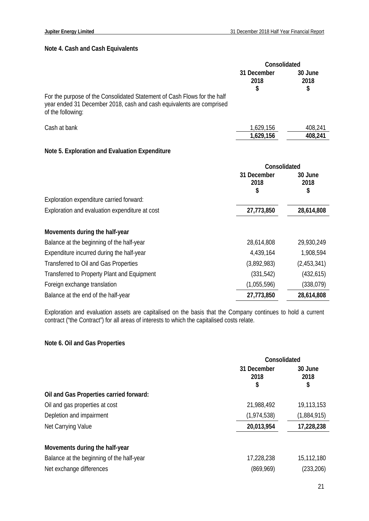# **Note 4. Cash and Cash Equivalents**

|                                                                                                                                                                       | Consolidated              |                       |
|-----------------------------------------------------------------------------------------------------------------------------------------------------------------------|---------------------------|-----------------------|
|                                                                                                                                                                       | 31 December<br>2018<br>\$ | 30 June<br>2018<br>\$ |
| For the purpose of the Consolidated Statement of Cash Flows for the half<br>year ended 31 December 2018, cash and cash equivalents are comprised<br>of the following: |                           |                       |
| Cash at bank                                                                                                                                                          | 1,629,156                 | 408,241               |
|                                                                                                                                                                       | 1,629,156                 | 408,241               |
| Note 5. Exploration and Evaluation Expenditure                                                                                                                        |                           |                       |
|                                                                                                                                                                       | Consolidated              |                       |
|                                                                                                                                                                       | 31 December<br>2018<br>\$ | 30 June<br>2018<br>\$ |
|                                                                                                                                                                       |                           |                       |
| Exploration expenditure carried forward:                                                                                                                              |                           |                       |
| Exploration and evaluation expenditure at cost                                                                                                                        | 27,773,850                | 28,614,808            |
| Movements during the half-year                                                                                                                                        |                           |                       |
| Balance at the beginning of the half-year                                                                                                                             | 28,614,808                | 29,930,249            |
| Expenditure incurred during the half-year                                                                                                                             | 4,439,164                 | 1,908,594             |

| Balance at the end of the half-year         | 27,773,850  | 28,614,808  |
|---------------------------------------------|-------------|-------------|
| Foreign exchange translation                | (1,055,596) | (338,079)   |
| Transferred to Property Plant and Equipment | (331,542)   | (432, 615)  |
| Transferred to Oil and Gas Properties       | (3,892,983) | (2,453,341) |

Exploration and evaluation assets are capitalised on the basis that the Company continues to hold a current contract ("the Contract") for all areas of interests to which the capitalised costs relate.

# **Note 6. Oil and Gas Properties**

|                                           | Consolidated              |                       |
|-------------------------------------------|---------------------------|-----------------------|
|                                           | 31 December<br>2018<br>\$ | 30 June<br>2018<br>\$ |
| Oil and Gas Properties carried forward:   |                           |                       |
| Oil and gas properties at cost            | 21,988,492                | 19,113,153            |
| Depletion and impairment                  | (1,974,538)               | (1,884,915)           |
| Net Carrying Value                        | 20,013,954                | 17,228,238            |
| Movements during the half-year            |                           |                       |
| Balance at the beginning of the half-year | 17,228,238                | 15,112,180            |
| Net exchange differences                  | (869,969)                 | (233, 206)            |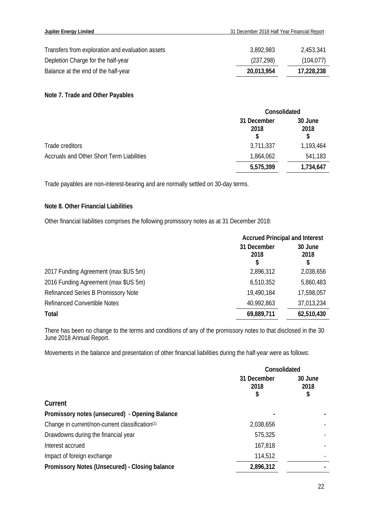| Transfers from exploration and evaluation assets | 3,892,983  | 2,453,341  |
|--------------------------------------------------|------------|------------|
| Depletion Charge for the half-year               | (237, 298) | (104, 077) |
| Balance at the end of the half-year              | 20,013,954 | 17,228,238 |

# **Note 7. Trade and Other Payables**

|                                                  | Consolidated              |                 |
|--------------------------------------------------|---------------------------|-----------------|
|                                                  | 31 December<br>2018<br>\$ | 30 June<br>2018 |
| Trade creditors                                  | 3,711,337                 | 1,193,464       |
| <b>Accruals and Other Short Term Liabilities</b> | 1,864,062                 | 541,183         |
|                                                  | 5,575,399                 | 1,734,647       |

Trade payables are non-interest-bearing and are normally settled on 30-day terms.

# **Note 8. Other Financial Liabilities**

Other financial liabilities comprises the following promissory notes as at 31 December 2018:

|                                      | <b>Accrued Principal and Interest</b> |                       |
|--------------------------------------|---------------------------------------|-----------------------|
|                                      | 31 December<br>2018<br>S              | 30 June<br>2018<br>\$ |
| 2017 Funding Agreement (max \$US 5m) | 2,896,312                             | 2,038,656             |
| 2016 Funding Agreement (max \$US 5m) | 6,510,352                             | 5,860,483             |
| Refinanced Series B Promissory Note  | 19,490,184                            | 17,598,057            |
| <b>Refinanced Convertible Notes</b>  | 40,992,863                            | 37,013,234            |
| Total                                | 69,889,711                            | 62,510,430            |

There has been no change to the terms and conditions of any of the promissory notes to that disclosed in the 30 June 2018 Annual Report.

Movements in the balance and presentation of other financial liabilities during the half-year were as follows:

|                                                             | Consolidated              |                       |
|-------------------------------------------------------------|---------------------------|-----------------------|
|                                                             | 31 December<br>2018<br>\$ | 30 June<br>2018<br>\$ |
| Current                                                     |                           |                       |
| Promissory notes (unsecured) - Opening Balance              |                           |                       |
| Change in current/non-current classification <sup>(1)</sup> | 2,038,656                 |                       |
| Drawdowns during the financial year                         | 575,325                   |                       |
| Interest accrued                                            | 167,818                   |                       |
| Impact of foreign exchange                                  | 114,512                   |                       |
| Promissory Notes (Unsecured) - Closing balance              | 2,896,312                 |                       |